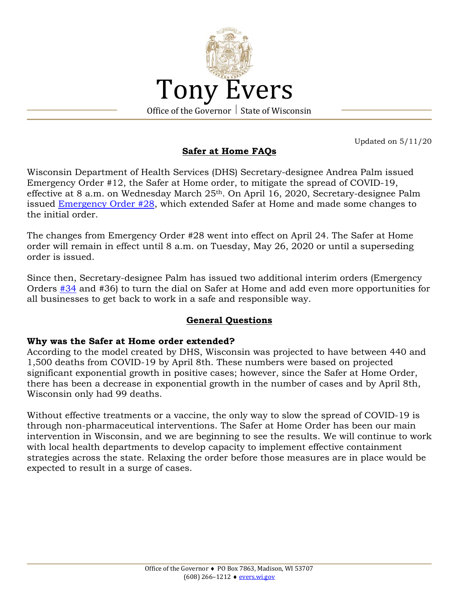

**Safer at Home FAQs**

Updated on 5/11/20

Wisconsin Department of Health Services (DHS) Secretary-designee Andrea Palm issued Emergency Order #12, the Safer at Home order, to mitigate the spread of COVID-19, effective at 8 a.m. on Wednesday March 25th. On April 16, 2020, Secretary-designee Palm issued [Emergency Order #28,](https://evers.wi.gov/Documents/COVID19/EMO28-SaferAtHome.pdf) which extended Safer at Home and made some changes to the initial order.

The changes from Emergency Order #28 went into effect on April 24. The Safer at Home order will remain in effect until 8 a.m. on Tuesday, May 26, 2020 or until a superseding order is issued.

Since then, Secretary-designee Palm has issued two additional interim orders (Emergency Orders [#34](https://evers.wi.gov/Documents/COVID19/EMO34-SAHDialTurn.pdf) and #36) to turn the dial on Safer at Home and add even more opportunities for all businesses to get back to work in a safe and responsible way.

## **General Questions**

## **Why was the Safer at Home order extended?**

According to the model created by DHS, Wisconsin was projected to have between 440 and 1,500 deaths from COVID-19 by April 8th. These numbers were based on projected significant exponential growth in positive cases; however, since the Safer at Home Order, there has been a decrease in exponential growth in the number of cases and by April 8th, Wisconsin only had 99 deaths.

Without effective treatments or a vaccine, the only way to slow the spread of COVID-19 is through non-pharmaceutical interventions. The Safer at Home Order has been our main intervention in Wisconsin, and we are beginning to see the results. We will continue to work with local health departments to develop capacity to implement effective containment strategies across the state. Relaxing the order before those measures are in place would be expected to result in a surge of cases.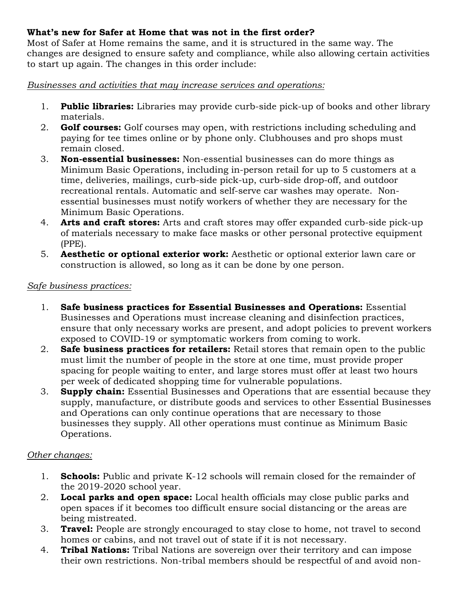# **What's new for Safer at Home that was not in the first order?**

Most of Safer at Home remains the same, and it is structured in the same way. The changes are designed to ensure safety and compliance, while also allowing certain activities to start up again. The changes in this order include:

*Businesses and activities that may increase services and operations:* 

- 1. **Public libraries:** Libraries may provide curb-side pick-up of books and other library materials.
- 2. **Golf courses:** Golf courses may open, with restrictions including scheduling and paying for tee times online or by phone only. Clubhouses and pro shops must remain closed.
- 3. **Non-essential businesses:** Non-essential businesses can do more things as Minimum Basic Operations, including in-person retail for up to 5 customers at a time, deliveries, mailings, curb-side pick-up, curb-side drop-off, and outdoor recreational rentals. Automatic and self-serve car washes may operate. Nonessential businesses must notify workers of whether they are necessary for the Minimum Basic Operations.
- 4. **Arts and craft stores:** Arts and craft stores may offer expanded curb-side pick-up of materials necessary to make face masks or other personal protective equipment (PPE).
- 5. **Aesthetic or optional exterior work:** Aesthetic or optional exterior lawn care or construction is allowed, so long as it can be done by one person.

## *Safe business practices:*

- 1. **Safe business practices for Essential Businesses and Operations:** Essential Businesses and Operations must increase cleaning and disinfection practices, ensure that only necessary works are present, and adopt policies to prevent workers exposed to COVID-19 or symptomatic workers from coming to work.
- 2. **Safe business practices for retailers:** Retail stores that remain open to the public must limit the number of people in the store at one time, must provide proper spacing for people waiting to enter, and large stores must offer at least two hours per week of dedicated shopping time for vulnerable populations.
- 3. **Supply chain:** Essential Businesses and Operations that are essential because they supply, manufacture, or distribute goods and services to other Essential Businesses and Operations can only continue operations that are necessary to those businesses they supply. All other operations must continue as Minimum Basic Operations.

# *Other changes:*

- 1. **Schools:** Public and private K-12 schools will remain closed for the remainder of the 2019-2020 school year.
- 2. **Local parks and open space:** Local health officials may close public parks and open spaces if it becomes too difficult ensure social distancing or the areas are being mistreated.
- 3. **Travel:** People are strongly encouraged to stay close to home, not travel to second homes or cabins, and not travel out of state if it is not necessary.
- 4. **Tribal Nations:** Tribal Nations are sovereign over their territory and can impose their own restrictions. Non-tribal members should be respectful of and avoid non-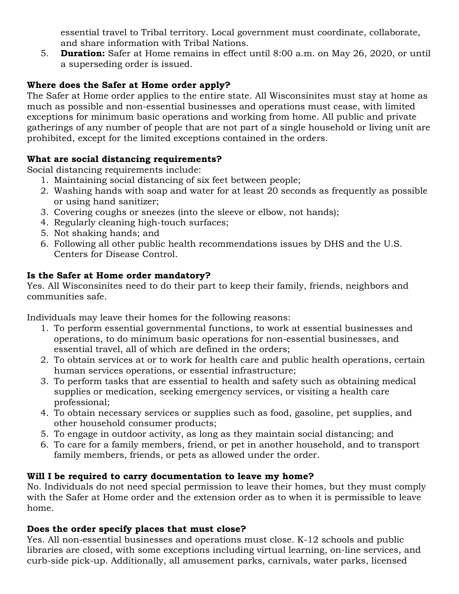essential travel to Tribal territory. Local government must coordinate, collaborate, and share information with Tribal Nations.

5. **Duration:** Safer at Home remains in effect until 8:00 a.m. on May 26, 2020, or until a superseding order is issued.

# **Where does the Safer at Home order apply?**

The Safer at Home order applies to the entire state. All Wisconsinites must stay at home as much as possible and non-essential businesses and operations must cease, with limited exceptions for minimum basic operations and working from home. All public and private gatherings of any number of people that are not part of a single household or living unit are prohibited, except for the limited exceptions contained in the orders.

# **What are social distancing requirements?**

Social distancing requirements include:

- 1. Maintaining social distancing of six feet between people;
- 2. Washing hands with soap and water for at least 20 seconds as frequently as possible or using hand sanitizer;
- 3. Covering coughs or sneezes (into the sleeve or elbow, not hands);
- 4. Regularly cleaning high-touch surfaces;
- 5. Not shaking hands; and
- 6. Following all other public health recommendations issues by DHS and the U.S. Centers for Disease Control.

# **Is the Safer at Home order mandatory?**

Yes. All Wisconsinites need to do their part to keep their family, friends, neighbors and communities safe.

Individuals may leave their homes for the following reasons:

- 1. To perform essential governmental functions, to work at essential businesses and operations, to do minimum basic operations for non-essential businesses, and essential travel, all of which are defined in the orders;
- 2. To obtain services at or to work for health care and public health operations, certain human services operations, or essential infrastructure;
- 3. To perform tasks that are essential to health and safety such as obtaining medical supplies or medication, seeking emergency services, or visiting a health care professional;
- 4. To obtain necessary services or supplies such as food, gasoline, pet supplies, and other household consumer products;
- 5. To engage in outdoor activity, as long as they maintain social distancing; and
- 6. To care for a family members, friend, or pet in another household, and to transport family members, friends, or pets as allowed under the order.

# **Will I be required to carry documentation to leave my home?**

No. Individuals do not need special permission to leave their homes, but they must comply with the Safer at Home order and the extension order as to when it is permissible to leave home.

# **Does the order specify places that must close?**

Yes. All non-essential businesses and operations must close. K-12 schools and public libraries are closed, with some exceptions including virtual learning, on-line services, and curb-side pick-up. Additionally, all amusement parks, carnivals, water parks, licensed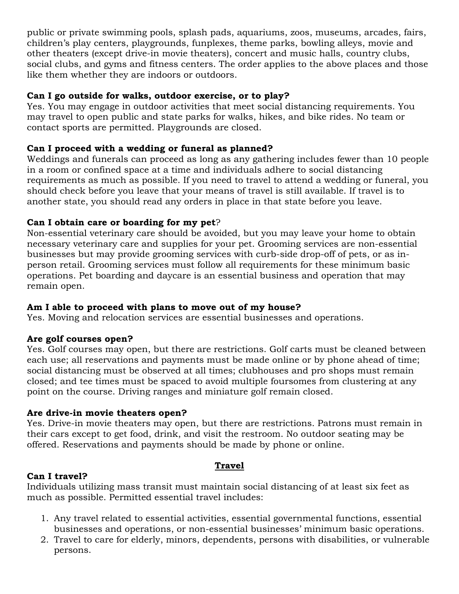public or private swimming pools, splash pads, aquariums, zoos, museums, arcades, fairs, children's play centers, playgrounds, funplexes, theme parks, bowling alleys, movie and other theaters (except drive-in movie theaters), concert and music halls, country clubs, social clubs, and gyms and fitness centers. The order applies to the above places and those like them whether they are indoors or outdoors.

## **Can I go outside for walks, outdoor exercise, or to play?**

Yes. You may engage in outdoor activities that meet social distancing requirements. You may travel to open public and state parks for walks, hikes, and bike rides. No team or contact sports are permitted. Playgrounds are closed.

## **Can I proceed with a wedding or funeral as planned?**

Weddings and funerals can proceed as long as any gathering includes fewer than 10 people in a room or confined space at a time and individuals adhere to social distancing requirements as much as possible. If you need to travel to attend a wedding or funeral, you should check before you leave that your means of travel is still available. If travel is to another state, you should read any orders in place in that state before you leave.

# **Can I obtain care or boarding for my pet**?

Non-essential veterinary care should be avoided, but you may leave your home to obtain necessary veterinary care and supplies for your pet. Grooming services are non-essential businesses but may provide grooming services with curb-side drop-off of pets, or as inperson retail. Grooming services must follow all requirements for these minimum basic operations. Pet boarding and daycare is an essential business and operation that may remain open.

# **Am I able to proceed with plans to move out of my house?**

Yes. Moving and relocation services are essential businesses and operations.

# **Are golf courses open?**

Yes. Golf courses may open, but there are restrictions. Golf carts must be cleaned between each use; all reservations and payments must be made online or by phone ahead of time; social distancing must be observed at all times; clubhouses and pro shops must remain closed; and tee times must be spaced to avoid multiple foursomes from clustering at any point on the course. Driving ranges and miniature golf remain closed.

# **Are drive-in movie theaters open?**

Yes. Drive-in movie theaters may open, but there are restrictions. Patrons must remain in their cars except to get food, drink, and visit the restroom. No outdoor seating may be offered. Reservations and payments should be made by phone or online.

## **Travel**

## **Can I travel?**

Individuals utilizing mass transit must maintain social distancing of at least six feet as much as possible. Permitted essential travel includes:

- 1. Any travel related to essential activities, essential governmental functions, essential businesses and operations, or non-essential businesses' minimum basic operations.
- 2. Travel to care for elderly, minors, dependents, persons with disabilities, or vulnerable persons.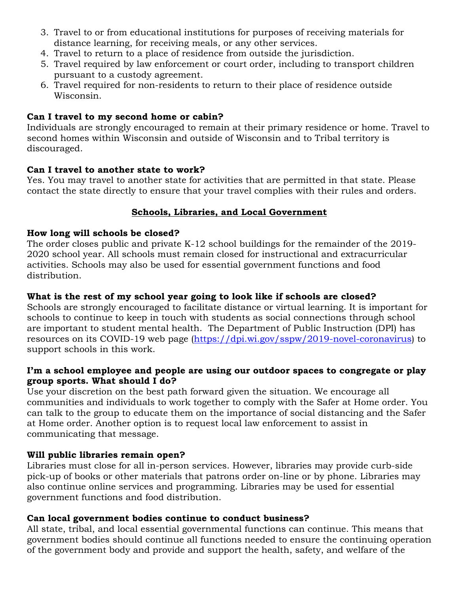- 3. Travel to or from educational institutions for purposes of receiving materials for distance learning, for receiving meals, or any other services.
- 4. Travel to return to a place of residence from outside the jurisdiction.
- 5. Travel required by law enforcement or court order, including to transport children pursuant to a custody agreement.
- 6. Travel required for non-residents to return to their place of residence outside Wisconsin.

## **Can I travel to my second home or cabin?**

Individuals are strongly encouraged to remain at their primary residence or home. Travel to second homes within Wisconsin and outside of Wisconsin and to Tribal territory is discouraged.

## **Can I travel to another state to work?**

Yes. You may travel to another state for activities that are permitted in that state. Please contact the state directly to ensure that your travel complies with their rules and orders.

## **Schools, Libraries, and Local Government**

#### **How long will schools be closed?**

The order closes public and private K-12 school buildings for the remainder of the 2019- 2020 school year. All schools must remain closed for instructional and extracurricular activities. Schools may also be used for essential government functions and food distribution.

## **What is the rest of my school year going to look like if schools are closed?**

Schools are strongly encouraged to facilitate distance or virtual learning. It is important for schools to continue to keep in touch with students as social connections through school are important to student mental health. The Department of Public Instruction (DPI) has resources on its COVID-19 web page [\(https://dpi.wi.gov/sspw/2019-novel-coronavirus\)](https://dpi.wi.gov/sspw/2019-novel-coronavirus) to support schools in this work.

#### **I'm a school employee and people are using our outdoor spaces to congregate or play group sports. What should I do?**

Use your discretion on the best path forward given the situation. We encourage all communities and individuals to work together to comply with the Safer at Home order. You can talk to the group to educate them on the importance of social distancing and the Safer at Home order. Another option is to request local law enforcement to assist in communicating that message.

## **Will public libraries remain open?**

Libraries must close for all in-person services. However, libraries may provide curb-side pick-up of books or other materials that patrons order on-line or by phone. Libraries may also continue online services and programming. Libraries may be used for essential government functions and food distribution.

## **Can local government bodies continue to conduct business?**

All state, tribal, and local essential governmental functions can continue. This means that government bodies should continue all functions needed to ensure the continuing operation of the government body and provide and support the health, safety, and welfare of the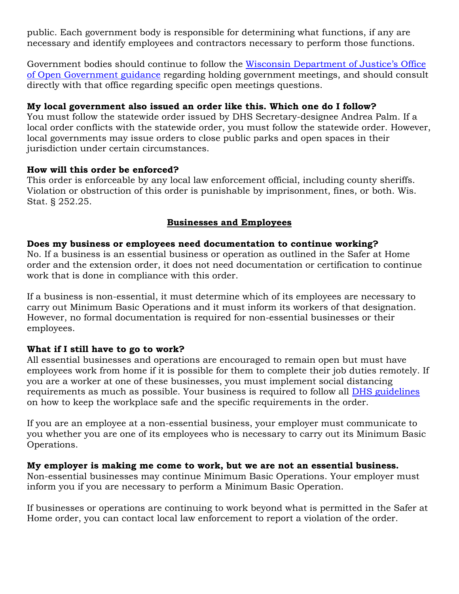public. Each government body is responsible for determining what functions, if any are necessary and identify employees and contractors necessary to perform those functions.

Government bodies should continue to follow the [Wisconsin Department of Justice's Office](https://www.doj.state.wi.us/sites/default/files/news-media/3.20.20_OOG_Final.pdf)  [of Open Government guidance](https://www.doj.state.wi.us/sites/default/files/news-media/3.20.20_OOG_Final.pdf) regarding holding government meetings, and should consult directly with that office regarding specific open meetings questions.

### **My local government also issued an order like this. Which one do I follow?**

You must follow the statewide order issued by DHS Secretary-designee Andrea Palm. If a local order conflicts with the statewide order, you must follow the statewide order. However, local governments may issue orders to close public parks and open spaces in their jurisdiction under certain circumstances.

#### **How will this order be enforced?**

This order is enforceable by any local law enforcement official, including county sheriffs. Violation or obstruction of this order is punishable by imprisonment, fines, or both. Wis. Stat. § 252.25.

## **Businesses and Employees**

#### **Does my business or employees need documentation to continue working?**

No. If a business is an essential business or operation as outlined in the Safer at Home order and the extension order, it does not need documentation or certification to continue work that is done in compliance with this order.

If a business is non-essential, it must determine which of its employees are necessary to carry out Minimum Basic Operations and it must inform its workers of that designation. However, no formal documentation is required for non-essential businesses or their employees.

## **What if I still have to go to work?**

All essential businesses and operations are encouraged to remain open but must have employees work from home if it is possible for them to complete their job duties remotely. If you are a worker at one of these businesses, you must implement social distancing requirements as much as possible. Your business is required to follow all [DHS guidelines](https://www.dhs.wisconsin.gov/covid-19/employers.htm) on how to keep the workplace safe and the specific requirements in the order.

If you are an employee at a non-essential business, your employer must communicate to you whether you are one of its employees who is necessary to carry out its Minimum Basic Operations.

#### **My employer is making me come to work, but we are not an essential business.**

Non-essential businesses may continue Minimum Basic Operations. Your employer must inform you if you are necessary to perform a Minimum Basic Operation.

If businesses or operations are continuing to work beyond what is permitted in the Safer at Home order, you can contact local law enforcement to report a violation of the order.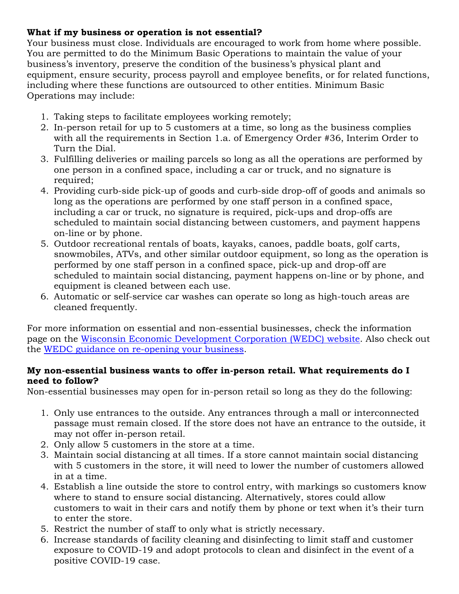## **What if my business or operation is not essential?**

Your business must close. Individuals are encouraged to work from home where possible. You are permitted to do the Minimum Basic Operations to maintain the value of your business's inventory, preserve the condition of the business's physical plant and equipment, ensure security, process payroll and employee benefits, or for related functions, including where these functions are outsourced to other entities. Minimum Basic Operations may include:

- 1. Taking steps to facilitate employees working remotely;
- 2. In-person retail for up to 5 customers at a time, so long as the business complies with all the requirements in Section 1.a. of Emergency Order #36, Interim Order to Turn the Dial.
- 3. Fulfilling deliveries or mailing parcels so long as all the operations are performed by one person in a confined space, including a car or truck, and no signature is required;
- 4. Providing curb-side pick-up of goods and curb-side drop-off of goods and animals so long as the operations are performed by one staff person in a confined space, including a car or truck, no signature is required, pick-ups and drop-offs are scheduled to maintain social distancing between customers, and payment happens on-line or by phone.
- 5. Outdoor recreational rentals of boats, kayaks, canoes, paddle boats, golf carts, snowmobiles, ATVs, and other similar outdoor equipment, so long as the operation is performed by one staff person in a confined space, pick-up and drop-off are scheduled to maintain social distancing, payment happens on-line or by phone, and equipment is cleaned between each use.
- 6. Automatic or self-service car washes can operate so long as high-touch areas are cleaned frequently.

For more information on essential and non-essential businesses, check the information page on the [Wisconsin Economic Development Corporation \(WEDC\) website.](https://wedc.org/essentialbusiness/) Also check out the [WEDC guidance on re-opening your business.](https://wedc.org/reopen-guidelines/)

#### **My non-essential business wants to offer in-person retail. What requirements do I need to follow?**

Non-essential businesses may open for in-person retail so long as they do the following:

- 1. Only use entrances to the outside. Any entrances through a mall or interconnected passage must remain closed. If the store does not have an entrance to the outside, it may not offer in-person retail.
- 2. Only allow 5 customers in the store at a time.
- 3. Maintain social distancing at all times. If a store cannot maintain social distancing with 5 customers in the store, it will need to lower the number of customers allowed in at a time.
- 4. Establish a line outside the store to control entry, with markings so customers know where to stand to ensure social distancing. Alternatively, stores could allow customers to wait in their cars and notify them by phone or text when it's their turn to enter the store.
- 5. Restrict the number of staff to only what is strictly necessary.
- 6. Increase standards of facility cleaning and disinfecting to limit staff and customer exposure to COVID-19 and adopt protocols to clean and disinfect in the event of a positive COVID-19 case.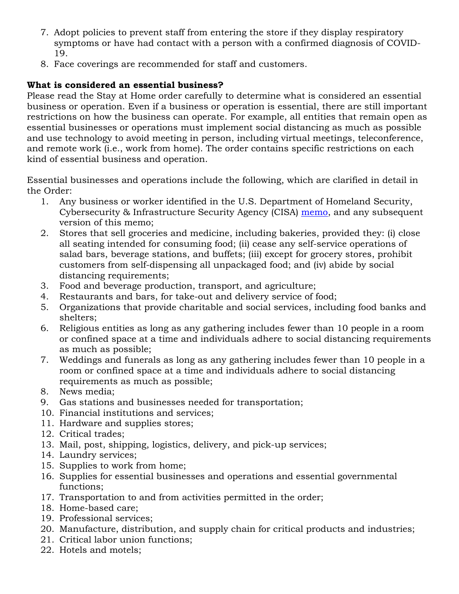- 7. Adopt policies to prevent staff from entering the store if they display respiratory symptoms or have had contact with a person with a confirmed diagnosis of COVID-19.
- 8. Face coverings are recommended for staff and customers.

# **What is considered an essential business?**

Please read the Stay at Home order carefully to determine what is considered an essential business or operation. Even if a business or operation is essential, there are still important restrictions on how the business can operate. For example, all entities that remain open as essential businesses or operations must implement social distancing as much as possible and use technology to avoid meeting in person, including virtual meetings, teleconference, and remote work (i.e., work from home). The order contains specific restrictions on each kind of essential business and operation.

Essential businesses and operations include the following, which are clarified in detail in the Order:

- 1. Any business or worker identified in the U.S. Department of Homeland Security, Cybersecurity & Infrastructure Security Agency (CISA) [memo,](https://www.cisa.gov/publication/guidance-essential-critical-infrastructure-workforce) and any subsequent version of this memo;
- 2. Stores that sell groceries and medicine, including bakeries, provided they: (i) close all seating intended for consuming food; (ii) cease any self-service operations of salad bars, beverage stations, and buffets; (iii) except for grocery stores, prohibit customers from self-dispensing all unpackaged food; and (iv) abide by social distancing requirements;
- 3. Food and beverage production, transport, and agriculture;
- 4. Restaurants and bars, for take-out and delivery service of food;
- 5. Organizations that provide charitable and social services, including food banks and shelters;
- 6. Religious entities as long as any gathering includes fewer than 10 people in a room or confined space at a time and individuals adhere to social distancing requirements as much as possible;
- 7. Weddings and funerals as long as any gathering includes fewer than 10 people in a room or confined space at a time and individuals adhere to social distancing requirements as much as possible;
- 8. News media;
- 9. Gas stations and businesses needed for transportation;
- 10. Financial institutions and services;
- 11. Hardware and supplies stores;
- 12. Critical trades;
- 13. Mail, post, shipping, logistics, delivery, and pick-up services;
- 14. Laundry services;
- 15. Supplies to work from home;
- 16. Supplies for essential businesses and operations and essential governmental functions;
- 17. Transportation to and from activities permitted in the order;
- 18. Home-based care;
- 19. Professional services;
- 20. Manufacture, distribution, and supply chain for critical products and industries;
- 21. Critical labor union functions;
- 22. Hotels and motels;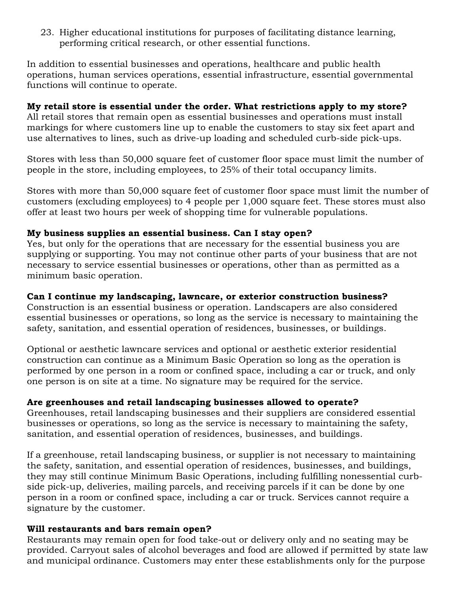23. Higher educational institutions for purposes of facilitating distance learning, performing critical research, or other essential functions.

In addition to essential businesses and operations, healthcare and public health operations, human services operations, essential infrastructure, essential governmental functions will continue to operate.

## **My retail store is essential under the order. What restrictions apply to my store?**

All retail stores that remain open as essential businesses and operations must install markings for where customers line up to enable the customers to stay six feet apart and use alternatives to lines, such as drive-up loading and scheduled curb-side pick-ups.

Stores with less than 50,000 square feet of customer floor space must limit the number of people in the store, including employees, to 25% of their total occupancy limits.

Stores with more than 50,000 square feet of customer floor space must limit the number of customers (excluding employees) to 4 people per 1,000 square feet. These stores must also offer at least two hours per week of shopping time for vulnerable populations.

#### **My business supplies an essential business. Can I stay open?**

Yes, but only for the operations that are necessary for the essential business you are supplying or supporting. You may not continue other parts of your business that are not necessary to service essential businesses or operations, other than as permitted as a minimum basic operation.

## **Can I continue my landscaping, lawncare, or exterior construction business?**

Construction is an essential business or operation. Landscapers are also considered essential businesses or operations, so long as the service is necessary to maintaining the safety, sanitation, and essential operation of residences, businesses, or buildings.

Optional or aesthetic lawncare services and optional or aesthetic exterior residential construction can continue as a Minimum Basic Operation so long as the operation is performed by one person in a room or confined space, including a car or truck, and only one person is on site at a time. No signature may be required for the service.

## **Are greenhouses and retail landscaping businesses allowed to operate?**

Greenhouses, retail landscaping businesses and their suppliers are considered essential businesses or operations, so long as the service is necessary to maintaining the safety, sanitation, and essential operation of residences, businesses, and buildings.

If a greenhouse, retail landscaping business, or supplier is not necessary to maintaining the safety, sanitation, and essential operation of residences, businesses, and buildings, they may still continue Minimum Basic Operations, including fulfilling nonessential curbside pick-up, deliveries, mailing parcels, and receiving parcels if it can be done by one person in a room or confined space, including a car or truck. Services cannot require a signature by the customer.

#### **Will restaurants and bars remain open?**

Restaurants may remain open for food take-out or delivery only and no seating may be provided. Carryout sales of alcohol beverages and food are allowed if permitted by state law and municipal ordinance. Customers may enter these establishments only for the purpose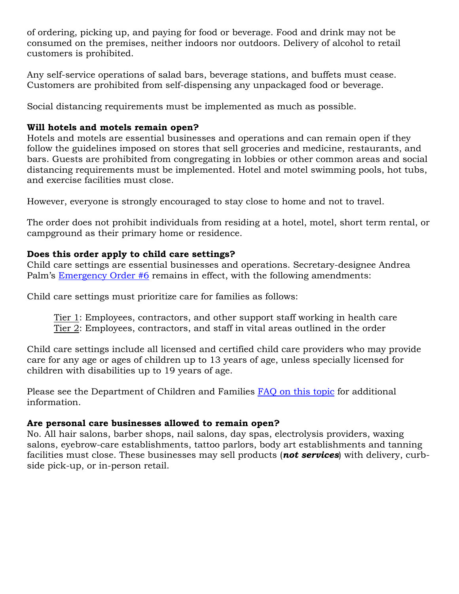of ordering, picking up, and paying for food or beverage. Food and drink may not be consumed on the premises, neither indoors nor outdoors. Delivery of alcohol to retail customers is prohibited.

Any self-service operations of salad bars, beverage stations, and buffets must cease. Customers are prohibited from self-dispensing any unpackaged food or beverage.

Social distancing requirements must be implemented as much as possible.

## **Will hotels and motels remain open?**

Hotels and motels are essential businesses and operations and can remain open if they follow the guidelines imposed on stores that sell groceries and medicine, restaurants, and bars. Guests are prohibited from congregating in lobbies or other common areas and social distancing requirements must be implemented. Hotel and motel swimming pools, hot tubs, and exercise facilities must close.

However, everyone is strongly encouraged to stay close to home and not to travel.

The order does not prohibit individuals from residing at a hotel, motel, short term rental, or campground as their primary home or residence.

## **Does this order apply to child care settings?**

Child care settings are essential businesses and operations. Secretary-designee Andrea Palm's [Emergency Order #6](https://content.govdelivery.com/attachments/WIGOV/2020/03/18/file_attachments/1404852/DHS%20Order_3.18.2020.pdf) remains in effect, with the following amendments:

Child care settings must prioritize care for families as follows:

Tier 1: Employees, contractors, and other support staff working in health care Tier 2: Employees, contractors, and staff in vital areas outlined in the order

Child care settings include all licensed and certified child care providers who may provide care for any age or ages of children up to 13 years of age, unless specially licensed for children with disabilities up to 19 years of age.

Please see the Department of Children and Families [FAQ on this topic](https://dcf.wisconsin.gov/files/press/2020/dcf-order-16-covid-19.pdf) for additional information.

## **Are personal care businesses allowed to remain open?**

No. All hair salons, barber shops, nail salons, day spas, electrolysis providers, waxing salons, eyebrow-care establishments, tattoo parlors, body art establishments and tanning facilities must close. These businesses may sell products (*not services*) with delivery, curbside pick-up, or in-person retail.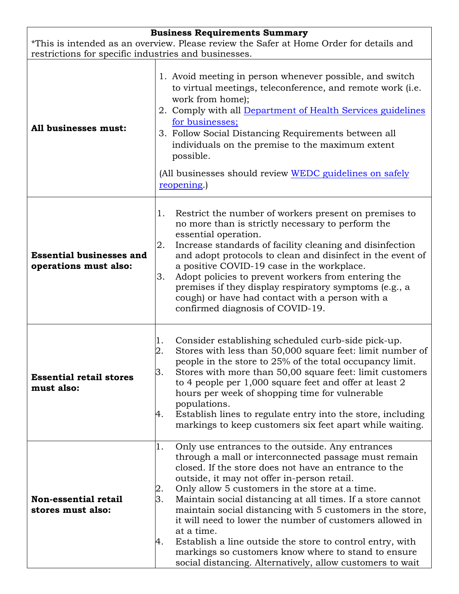| <b>Business Requirements Summary</b>                                                                                                            |                                                                                                                                                                                                                                                                                                                                                                                                                                                                                                                                                                                                                                                                                  |  |
|-------------------------------------------------------------------------------------------------------------------------------------------------|----------------------------------------------------------------------------------------------------------------------------------------------------------------------------------------------------------------------------------------------------------------------------------------------------------------------------------------------------------------------------------------------------------------------------------------------------------------------------------------------------------------------------------------------------------------------------------------------------------------------------------------------------------------------------------|--|
| *This is intended as an overview. Please review the Safer at Home Order for details and<br>restrictions for specific industries and businesses. |                                                                                                                                                                                                                                                                                                                                                                                                                                                                                                                                                                                                                                                                                  |  |
|                                                                                                                                                 |                                                                                                                                                                                                                                                                                                                                                                                                                                                                                                                                                                                                                                                                                  |  |
| All businesses must:                                                                                                                            | 1. Avoid meeting in person whenever possible, and switch<br>to virtual meetings, teleconference, and remote work (i.e.<br>work from home);<br>2. Comply with all Department of Health Services guidelines<br>for businesses;<br>3. Follow Social Distancing Requirements between all<br>individuals on the premise to the maximum extent<br>possible.<br>(All businesses should review WEDC guidelines on safely<br>reopening.)                                                                                                                                                                                                                                                  |  |
| <b>Essential businesses and</b><br>operations must also:                                                                                        | Restrict the number of workers present on premises to<br>1.<br>no more than is strictly necessary to perform the<br>essential operation.<br>Increase standards of facility cleaning and disinfection<br>2.<br>and adopt protocols to clean and disinfect in the event of<br>a positive COVID-19 case in the workplace.<br>Adopt policies to prevent workers from entering the<br>3.<br>premises if they display respiratory symptoms (e.g., a<br>cough) or have had contact with a person with a<br>confirmed diagnosis of COVID-19.                                                                                                                                             |  |
| <b>Essential retail stores</b><br>must also:                                                                                                    | Consider establishing scheduled curb-side pick-up.<br>1.<br>Stores with less than 50,000 square feet: limit number of<br>2.<br>people in the store to 25% of the total occupancy limit.<br>3.<br>Stores with more than 50,00 square feet: limit customers<br>to 4 people per 1,000 square feet and offer at least 2<br>hours per week of shopping time for vulnerable<br>populations.<br>Establish lines to regulate entry into the store, including<br>4.<br>markings to keep customers six feet apart while waiting.                                                                                                                                                           |  |
| Non-essential retail<br>stores must also:                                                                                                       | Only use entrances to the outside. Any entrances<br>1.<br>through a mall or interconnected passage must remain<br>closed. If the store does not have an entrance to the<br>outside, it may not offer in-person retail.<br>Only allow 5 customers in the store at a time.<br>2.<br>3.<br>Maintain social distancing at all times. If a store cannot<br>maintain social distancing with 5 customers in the store,<br>it will need to lower the number of customers allowed in<br>at a time.<br>Establish a line outside the store to control entry, with<br>4.<br>markings so customers know where to stand to ensure<br>social distancing. Alternatively, allow customers to wait |  |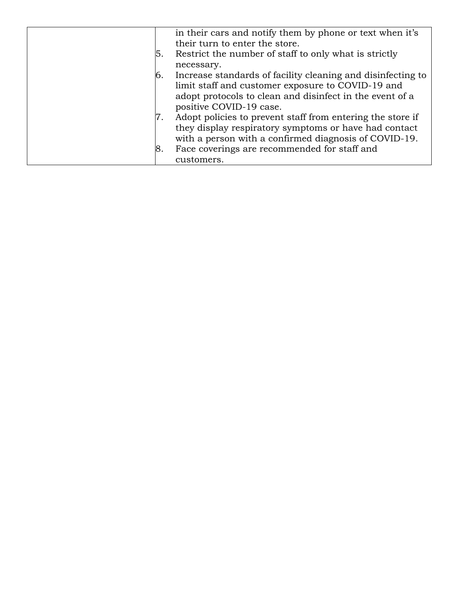|     | in their cars and notify them by phone or text when it's<br>their turn to enter the store.                                                                                                                                   |
|-----|------------------------------------------------------------------------------------------------------------------------------------------------------------------------------------------------------------------------------|
| ۱5. | Restrict the number of staff to only what is strictly<br>necessary.                                                                                                                                                          |
|     | Increase standards of facility cleaning and disinfecting to<br>limit staff and customer exposure to COVID-19 and<br>adopt protocols to clean and disinfect in the event of a<br>positive COVID-19 case.                      |
| 8.  | Adopt policies to prevent staff from entering the store if<br>they display respiratory symptoms or have had contact<br>with a person with a confirmed diagnosis of COVID-19.<br>Face coverings are recommended for staff and |
|     | customers.                                                                                                                                                                                                                   |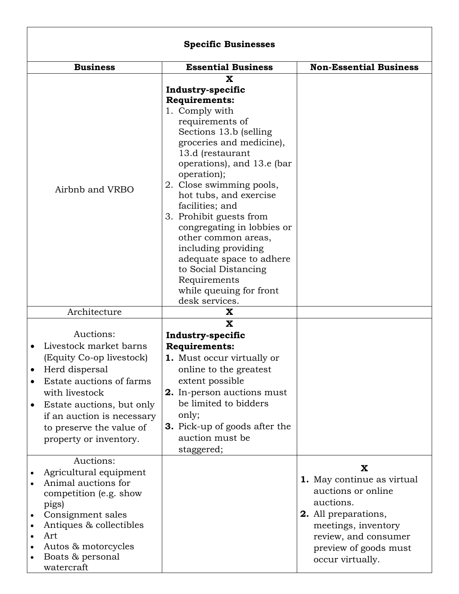|                                                                                                                                                                                                                                                  | <b>Specific Businesses</b>                                                                                                                                                                                                                                                                                                                                                                                                                                                                                   |                                                                                                                                                                                        |
|--------------------------------------------------------------------------------------------------------------------------------------------------------------------------------------------------------------------------------------------------|--------------------------------------------------------------------------------------------------------------------------------------------------------------------------------------------------------------------------------------------------------------------------------------------------------------------------------------------------------------------------------------------------------------------------------------------------------------------------------------------------------------|----------------------------------------------------------------------------------------------------------------------------------------------------------------------------------------|
| <b>Business</b>                                                                                                                                                                                                                                  | <b>Essential Business</b>                                                                                                                                                                                                                                                                                                                                                                                                                                                                                    | <b>Non-Essential Business</b>                                                                                                                                                          |
| Airbnb and VRBO                                                                                                                                                                                                                                  | X<br>Industry-specific<br><b>Requirements:</b><br>1. Comply with<br>requirements of<br>Sections 13.b (selling)<br>groceries and medicine),<br>13.d (restaurant<br>operations), and 13.e (bar<br>operation);<br>2. Close swimming pools,<br>hot tubs, and exercise<br>facilities; and<br>3. Prohibit guests from<br>congregating in lobbies or<br>other common areas,<br>including providing<br>adequate space to adhere<br>to Social Distancing<br>Requirements<br>while queuing for front<br>desk services. |                                                                                                                                                                                        |
| Architecture                                                                                                                                                                                                                                     | X                                                                                                                                                                                                                                                                                                                                                                                                                                                                                                            |                                                                                                                                                                                        |
| Auctions:<br>Livestock market barns<br>(Equity Co-op livestock)<br>Herd dispersal<br>Estate auctions of farms<br>with livestock<br>Estate auctions, but only<br>if an auction is necessary<br>to preserve the value of<br>property or inventory. | X<br>Industry-specific<br><b>Requirements:</b><br><b>1.</b> Must occur virtually or<br>online to the greatest<br>extent possible<br>2. In-person auctions must<br>be limited to bidders<br>only;<br><b>3.</b> Pick-up of goods after the<br>auction must be<br>staggered;                                                                                                                                                                                                                                    |                                                                                                                                                                                        |
| Auctions:<br>Agricultural equipment<br>Animal auctions for<br>competition (e.g. show<br>pigs)<br>Consignment sales<br>Antiques & collectibles<br>Art<br>Autos & motorcycles<br>Boats & personal<br>watercraft                                    |                                                                                                                                                                                                                                                                                                                                                                                                                                                                                                              | X<br>1. May continue as virtual<br>auctions or online<br>auctions.<br>2. All preparations,<br>meetings, inventory<br>review, and consumer<br>preview of goods must<br>occur virtually. |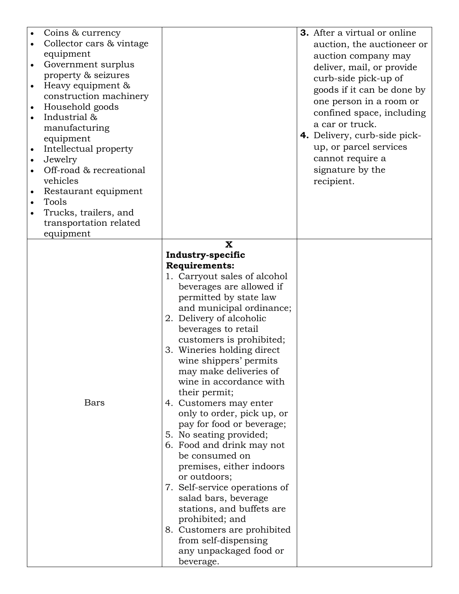| Coins & currency<br>Collector cars & vintage<br>equipment<br>Government surplus<br>$\bullet$<br>property & seizures<br>Heavy equipment &<br>construction machinery<br>Household goods<br>Industrial &<br>manufacturing<br>equipment<br>Intellectual property<br>$\bullet$<br>Jewelry<br>$\bullet$<br>Off-road & recreational<br>vehicles<br>Restaurant equipment<br>Tools<br>Trucks, trailers, and |                                                                                                                                                                                                                                                                                                                                                                                                                                                                                                                                                                                                                                                                                                                                                                                                 | 3. After a virtual or online<br>auction, the auctioneer or<br>auction company may<br>deliver, mail, or provide<br>curb-side pick-up of<br>goods if it can be done by<br>one person in a room or<br>confined space, including<br>a car or truck.<br>4. Delivery, curb-side pick-<br>up, or parcel services<br>cannot require a<br>signature by the<br>recipient. |
|----------------------------------------------------------------------------------------------------------------------------------------------------------------------------------------------------------------------------------------------------------------------------------------------------------------------------------------------------------------------------------------------------|-------------------------------------------------------------------------------------------------------------------------------------------------------------------------------------------------------------------------------------------------------------------------------------------------------------------------------------------------------------------------------------------------------------------------------------------------------------------------------------------------------------------------------------------------------------------------------------------------------------------------------------------------------------------------------------------------------------------------------------------------------------------------------------------------|-----------------------------------------------------------------------------------------------------------------------------------------------------------------------------------------------------------------------------------------------------------------------------------------------------------------------------------------------------------------|
| transportation related<br>equipment                                                                                                                                                                                                                                                                                                                                                                |                                                                                                                                                                                                                                                                                                                                                                                                                                                                                                                                                                                                                                                                                                                                                                                                 |                                                                                                                                                                                                                                                                                                                                                                 |
| Bars                                                                                                                                                                                                                                                                                                                                                                                               | X<br>Industry-specific<br><b>Requirements:</b><br>1. Carryout sales of alcohol<br>beverages are allowed if<br>permitted by state law<br>and municipal ordinance;<br>2. Delivery of alcoholic<br>beverages to retail<br>customers is prohibited;<br>3. Wineries holding direct<br>wine shippers' permits<br>may make deliveries of<br>wine in accordance with<br>their permit;<br>4. Customers may enter<br>only to order, pick up, or<br>pay for food or beverage;<br>5. No seating provided;<br>6. Food and drink may not<br>be consumed on<br>premises, either indoors<br>or outdoors;<br>7. Self-service operations of<br>salad bars, beverage<br>stations, and buffets are<br>prohibited; and<br>8. Customers are prohibited<br>from self-dispensing<br>any unpackaged food or<br>beverage. |                                                                                                                                                                                                                                                                                                                                                                 |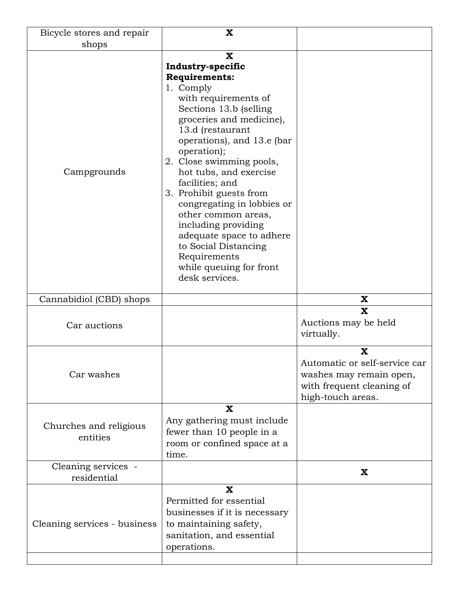| Bicycle stores and repair          | X                                                                                                                                                                                                                                                                                                                                                                                                                                                                                                                     |                                                                                                                 |
|------------------------------------|-----------------------------------------------------------------------------------------------------------------------------------------------------------------------------------------------------------------------------------------------------------------------------------------------------------------------------------------------------------------------------------------------------------------------------------------------------------------------------------------------------------------------|-----------------------------------------------------------------------------------------------------------------|
| shops                              |                                                                                                                                                                                                                                                                                                                                                                                                                                                                                                                       |                                                                                                                 |
| Campgrounds                        | $\mathbf x$<br>Industry-specific<br><b>Requirements:</b><br>1. Comply<br>with requirements of<br>Sections 13.b (selling<br>groceries and medicine),<br>13.d (restaurant<br>operations), and 13.e (bar<br>operation);<br>2. Close swimming pools,<br>hot tubs, and exercise<br>facilities; and<br>3. Prohibit guests from<br>congregating in lobbies or<br>other common areas,<br>including providing<br>adequate space to adhere<br>to Social Distancing<br>Requirements<br>while queuing for front<br>desk services. |                                                                                                                 |
| Cannabidiol (CBD) shops            |                                                                                                                                                                                                                                                                                                                                                                                                                                                                                                                       | $\mathbf x$                                                                                                     |
| Car auctions                       |                                                                                                                                                                                                                                                                                                                                                                                                                                                                                                                       | X<br>Auctions may be held<br>virtually.                                                                         |
| Car washes                         |                                                                                                                                                                                                                                                                                                                                                                                                                                                                                                                       | X<br>Automatic or self-service car<br>washes may remain open,<br>with frequent cleaning of<br>high-touch areas. |
| Churches and religious<br>entities | $\mathbf x$<br>Any gathering must include<br>fewer than 10 people in a<br>room or confined space at a<br>time.                                                                                                                                                                                                                                                                                                                                                                                                        |                                                                                                                 |
| Cleaning services -                |                                                                                                                                                                                                                                                                                                                                                                                                                                                                                                                       | X                                                                                                               |
| residential                        |                                                                                                                                                                                                                                                                                                                                                                                                                                                                                                                       |                                                                                                                 |
|                                    | $\mathbf x$<br>Permitted for essential<br>businesses if it is necessary                                                                                                                                                                                                                                                                                                                                                                                                                                               |                                                                                                                 |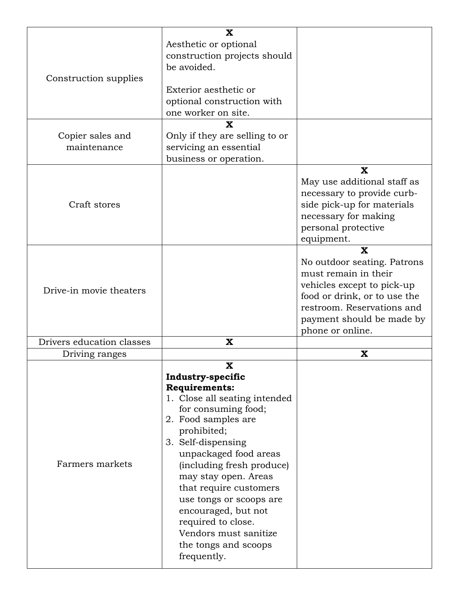|                           | X                              |                              |
|---------------------------|--------------------------------|------------------------------|
|                           |                                |                              |
|                           | Aesthetic or optional          |                              |
|                           | construction projects should   |                              |
|                           | be avoided.                    |                              |
| Construction supplies     |                                |                              |
|                           | Exterior aesthetic or          |                              |
|                           | optional construction with     |                              |
|                           | one worker on site.            |                              |
|                           |                                |                              |
|                           | $\overline{\mathbf{X}}$        |                              |
| Copier sales and          | Only if they are selling to or |                              |
| maintenance               | servicing an essential         |                              |
|                           | business or operation.         |                              |
|                           |                                | $\mathbf x$                  |
|                           |                                |                              |
|                           |                                | May use additional staff as  |
|                           |                                | necessary to provide curb-   |
| Craft stores              |                                | side pick-up for materials   |
|                           |                                | necessary for making         |
|                           |                                | personal protective          |
|                           |                                | equipment.                   |
|                           |                                | $\mathbf x$                  |
|                           |                                |                              |
|                           |                                | No outdoor seating. Patrons  |
|                           |                                | must remain in their         |
|                           |                                | vehicles except to pick-up   |
| Drive-in movie theaters   |                                | food or drink, or to use the |
|                           |                                | restroom. Reservations and   |
|                           |                                |                              |
|                           |                                |                              |
|                           |                                | payment should be made by    |
|                           |                                | phone or online.             |
| Drivers education classes | X                              |                              |
| Driving ranges            |                                | $\mathbf x$                  |
|                           | $\mathbf x$                    |                              |
|                           |                                |                              |
|                           | Industry-specific              |                              |
|                           | <b>Requirements:</b>           |                              |
|                           | 1. Close all seating intended  |                              |
|                           | for consuming food;            |                              |
|                           | 2. Food samples are            |                              |
|                           | prohibited;                    |                              |
|                           | 3. Self-dispensing             |                              |
|                           | unpackaged food areas          |                              |
| Farmers markets           | (including fresh produce)      |                              |
|                           | may stay open. Areas           |                              |
|                           |                                |                              |
|                           | that require customers         |                              |
|                           | use tongs or scoops are        |                              |
|                           | encouraged, but not            |                              |
|                           | required to close.             |                              |
|                           | Vendors must sanitize          |                              |
|                           | the tongs and scoops           |                              |
|                           | frequently.                    |                              |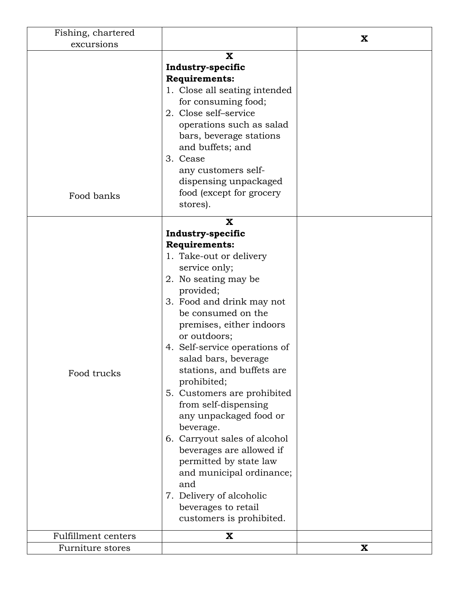| Fishing, chartered         |                                                                                                                                                                                                                                                                                                                                                                                                                                                                                                                                                                                                                                      | X           |
|----------------------------|--------------------------------------------------------------------------------------------------------------------------------------------------------------------------------------------------------------------------------------------------------------------------------------------------------------------------------------------------------------------------------------------------------------------------------------------------------------------------------------------------------------------------------------------------------------------------------------------------------------------------------------|-------------|
| excursions                 |                                                                                                                                                                                                                                                                                                                                                                                                                                                                                                                                                                                                                                      |             |
| Food banks                 | X<br>Industry-specific<br><b>Requirements:</b><br>1. Close all seating intended<br>for consuming food;<br>2. Close self-service<br>operations such as salad<br>bars, beverage stations<br>and buffets; and<br>3. Cease<br>any customers self-<br>dispensing unpackaged<br>food (except for grocery<br>stores).                                                                                                                                                                                                                                                                                                                       |             |
|                            | X                                                                                                                                                                                                                                                                                                                                                                                                                                                                                                                                                                                                                                    |             |
| Food trucks                | Industry-specific<br><b>Requirements:</b><br>1. Take-out or delivery<br>service only;<br>2. No seating may be<br>provided;<br>3. Food and drink may not<br>be consumed on the<br>premises, either indoors<br>or outdoors;<br>4. Self-service operations of<br>salad bars, beverage<br>stations, and buffets are<br>prohibited;<br>5. Customers are prohibited<br>from self-dispensing<br>any unpackaged food or<br>beverage.<br>6. Carryout sales of alcohol<br>beverages are allowed if<br>permitted by state law<br>and municipal ordinance;<br>and<br>7. Delivery of alcoholic<br>beverages to retail<br>customers is prohibited. |             |
| <b>Fulfillment centers</b> | $\mathbf x$                                                                                                                                                                                                                                                                                                                                                                                                                                                                                                                                                                                                                          |             |
|                            |                                                                                                                                                                                                                                                                                                                                                                                                                                                                                                                                                                                                                                      | $\mathbf X$ |
| Furniture stores           |                                                                                                                                                                                                                                                                                                                                                                                                                                                                                                                                                                                                                                      |             |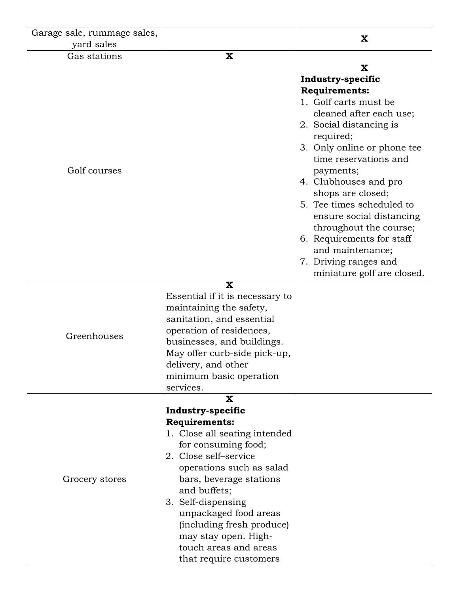| Garage sale, rummage sales, |                                                                                                                                                                                                                                                                                                                                                                         | X                                                                                                                                                                                                                                                                                                                                                                                                                                     |
|-----------------------------|-------------------------------------------------------------------------------------------------------------------------------------------------------------------------------------------------------------------------------------------------------------------------------------------------------------------------------------------------------------------------|---------------------------------------------------------------------------------------------------------------------------------------------------------------------------------------------------------------------------------------------------------------------------------------------------------------------------------------------------------------------------------------------------------------------------------------|
| yard sales                  |                                                                                                                                                                                                                                                                                                                                                                         |                                                                                                                                                                                                                                                                                                                                                                                                                                       |
| Gas stations                | X                                                                                                                                                                                                                                                                                                                                                                       |                                                                                                                                                                                                                                                                                                                                                                                                                                       |
| Golf courses                |                                                                                                                                                                                                                                                                                                                                                                         | $\mathbf{x}$<br>Industry-specific<br><b>Requirements:</b><br>1. Golf carts must be<br>cleaned after each use;<br>2. Social distancing is<br>required;<br>3. Only online or phone tee<br>time reservations and<br>payments;<br>4. Clubhouses and pro<br>shops are closed;<br>5. Tee times scheduled to<br>ensure social distancing<br>throughout the course;<br>6. Requirements for staff<br>and maintenance;<br>7. Driving ranges and |
| Greenhouses                 | $\mathbf{x}$<br>Essential if it is necessary to<br>maintaining the safety,<br>sanitation, and essential<br>operation of residences,<br>businesses, and buildings.<br>May offer curb-side pick-up,<br>delivery, and other<br>minimum basic operation<br>services.                                                                                                        | miniature golf are closed.                                                                                                                                                                                                                                                                                                                                                                                                            |
| Grocery stores              | $\mathbf x$<br>Industry-specific<br><b>Requirements:</b><br>1. Close all seating intended<br>for consuming food;<br>2. Close self-service<br>operations such as salad<br>bars, beverage stations<br>and buffets;<br>3. Self-dispensing<br>unpackaged food areas<br>(including fresh produce)<br>may stay open. High-<br>touch areas and areas<br>that require customers |                                                                                                                                                                                                                                                                                                                                                                                                                                       |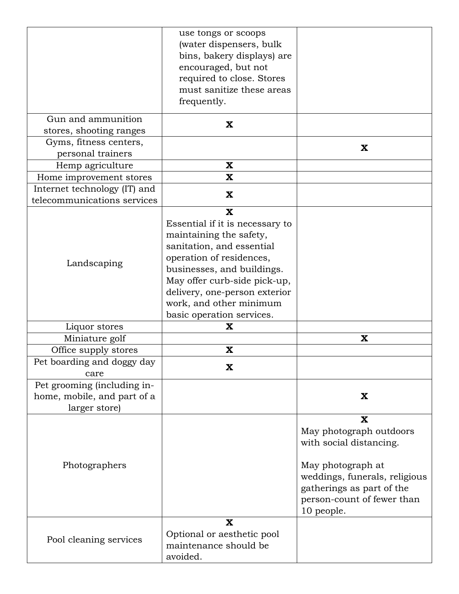|                              | use tongs or scoops             |                               |
|------------------------------|---------------------------------|-------------------------------|
|                              | (water dispensers, bulk         |                               |
|                              | bins, bakery displays) are      |                               |
|                              | encouraged, but not             |                               |
|                              | required to close. Stores       |                               |
|                              | must sanitize these areas       |                               |
|                              | frequently.                     |                               |
|                              |                                 |                               |
| Gun and ammunition           | X                               |                               |
| stores, shooting ranges      |                                 |                               |
| Gyms, fitness centers,       |                                 | X                             |
| personal trainers            |                                 |                               |
| Hemp agriculture             | $\mathbf x$                     |                               |
| Home improvement stores      | X                               |                               |
| Internet technology (IT) and | $\mathbf x$                     |                               |
| telecommunications services  |                                 |                               |
|                              | $\overline{\mathbf{X}}$         |                               |
|                              | Essential if it is necessary to |                               |
|                              | maintaining the safety,         |                               |
|                              | sanitation, and essential       |                               |
|                              | operation of residences,        |                               |
| Landscaping                  | businesses, and buildings.      |                               |
|                              | May offer curb-side pick-up,    |                               |
|                              | delivery, one-person exterior   |                               |
|                              | work, and other minimum         |                               |
|                              | basic operation services.       |                               |
| Liquor stores                | X                               |                               |
| Miniature golf               |                                 | $\mathbf x$                   |
| Office supply stores         | $\mathbf x$                     |                               |
| Pet boarding and doggy day   |                                 |                               |
| care                         | $\mathbf x$                     |                               |
| Pet grooming (including in-  |                                 |                               |
| home, mobile, and part of a  |                                 | X                             |
| larger store)                |                                 |                               |
|                              |                                 | $\mathbf x$                   |
|                              |                                 | May photograph outdoors       |
|                              |                                 | with social distancing.       |
|                              |                                 |                               |
|                              |                                 |                               |
| Photographers                |                                 | May photograph at             |
|                              |                                 | weddings, funerals, religious |
|                              |                                 | gatherings as part of the     |
|                              |                                 | person-count of fewer than    |
|                              | $\mathbf x$                     | 10 people.                    |
|                              |                                 |                               |
| Pool cleaning services       | Optional or aesthetic pool      |                               |
|                              | maintenance should be           |                               |
|                              | avoided.                        |                               |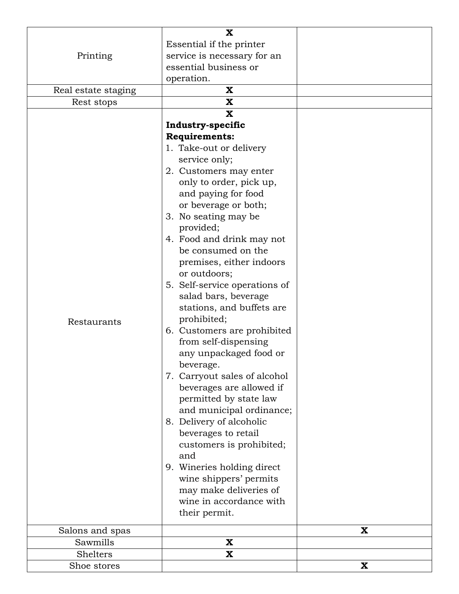|                     | $\mathbf{x}$                  |             |
|---------------------|-------------------------------|-------------|
| Printing            | Essential if the printer      |             |
|                     | service is necessary for an   |             |
|                     | essential business or         |             |
|                     | operation.                    |             |
| Real estate staging | X                             |             |
| Rest stops          | X                             |             |
|                     | $\mathbf{X}$                  |             |
|                     | Industry-specific             |             |
|                     | <b>Requirements:</b>          |             |
|                     | 1. Take-out or delivery       |             |
|                     | service only;                 |             |
|                     | 2. Customers may enter        |             |
|                     | only to order, pick up,       |             |
|                     | and paying for food           |             |
|                     | or beverage or both;          |             |
|                     | 3. No seating may be          |             |
|                     | provided;                     |             |
|                     | 4. Food and drink may not     |             |
|                     | be consumed on the            |             |
|                     | premises, either indoors      |             |
|                     | or outdoors;                  |             |
|                     | 5. Self-service operations of |             |
|                     | salad bars, beverage          |             |
|                     | stations, and buffets are     |             |
| Restaurants         | prohibited;                   |             |
|                     | 6. Customers are prohibited   |             |
|                     | from self-dispensing          |             |
|                     | any unpackaged food or        |             |
|                     | beverage.                     |             |
|                     | 7. Carryout sales of alcohol  |             |
|                     | beverages are allowed if      |             |
|                     | permitted by state law        |             |
|                     | and municipal ordinance;      |             |
|                     | 8. Delivery of alcoholic      |             |
|                     | beverages to retail           |             |
|                     | customers is prohibited;      |             |
|                     | and                           |             |
|                     | 9. Wineries holding direct    |             |
|                     | wine shippers' permits        |             |
|                     | may make deliveries of        |             |
|                     | wine in accordance with       |             |
|                     | their permit.                 |             |
| Salons and spas     |                               | X           |
| Sawmills            | $\mathbf x$                   |             |
| Shelters            | $\mathbf{x}$                  |             |
| Shoe stores         |                               | $\mathbf X$ |